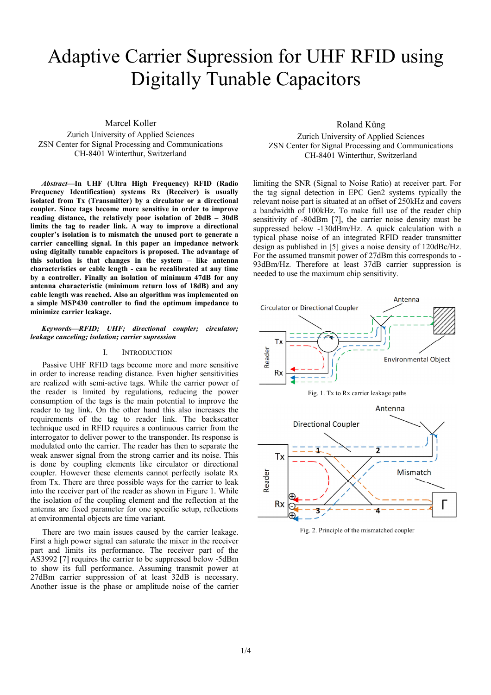# Adaptive Carrier Supression for UHF RFID using Digitally Tunable Capacitors

Marcel Koller

Zurich University of Applied Sciences ZSN Center for Signal Processing and Communications CH-8401 Winterthur, Switzerland

*Abstract***—In UHF (Ultra High Frequency) RFID (Radio Frequency Identification) systems Rx (Receiver) is usually isolated from Tx (Transmitter) by a circulator or a directional coupler. Since tags become more sensitive in order to improve reading distance, the relatively poor isolation of 20dB – 30dB limits the tag to reader link. A way to improve a directional coupler's isolation is to mismatch the unused port to generate a carrier cancelling signal. In this paper an impedance network using digitally tunable capacitors is proposed. The advantage of this solution is that changes in the system – like antenna characteristics or cable length - can be recalibrated at any time by a controller. Finally an isolation of minimum 47dB for any antenna characteristic (minimum return loss of 18dB) and any cable length was reached. Also an algorithm was implemented on a simple MSP430 controller to find the optimum impedance to minimize carrier leakage.** 

*Keywords—RFID; UHF; directional coupler; circulator; leakage canceling; isolation; carrier supression* 

## I. INTRODUCTION

Passive UHF RFID tags become more and more sensitive in order to increase reading distance. Even higher sensitivities are realized with semi-active tags. While the carrier power of the reader is limited by regulations, reducing the power consumption of the tags is the main potential to improve the reader to tag link. On the other hand this also increases the requirements of the tag to reader link. The backscatter technique used in RFID requires a continuous carrier from the interrogator to deliver power to the transponder. Its response is modulated onto the carrier. The reader has then to separate the weak answer signal from the strong carrier and its noise. This is done by coupling elements like circulator or directional coupler. However these elements cannot perfectly isolate Rx from Tx. There are three possible ways for the carrier to leak into the receiver part of the reader as shown in Figure 1. While the isolation of the coupling element and the reflection at the antenna are fixed parameter for one specific setup, reflections at environmental objects are time variant.

There are two main issues caused by the carrier leakage. First a high power signal can saturate the mixer in the receiver part and limits its performance. The receiver part of the AS3992 [7] requires the carrier to be suppressed below -5dBm to show its full performance. Assuming transmit power at 27dBm carrier suppression of at least 32dB is necessary. Another issue is the phase or amplitude noise of the carrier Roland Küng

Zurich University of Applied Sciences ZSN Center for Signal Processing and Communications CH-8401 Winterthur, Switzerland

limiting the SNR (Signal to Noise Ratio) at receiver part. For the tag signal detection in EPC Gen2 systems typically the relevant noise part is situated at an offset of 250kHz and covers a bandwidth of 100kHz. To make full use of the reader chip sensitivity of -80dBm [7], the carrier noise density must be suppressed below -130dBm/Hz. A quick calculation with a typical phase noise of an integrated RFID reader transmitter design as published in [5] gives a noise density of 120dBc/Hz. For the assumed transmit power of 27dBm this corresponds to - 93dBm/Hz. Therefore at least 37dB carrier suppression is needed to use the maximum chip sensitivity.



Fig. 2. Principle of the mismatched coupler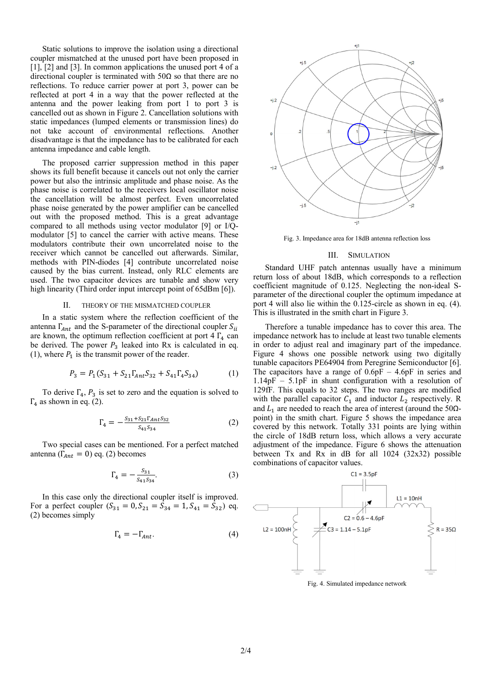Static solutions to improve the isolation using a directional coupler mismatched at the unused port have been proposed in [1], [2] and [3]. In common applications the unused port 4 of a directional coupler is terminated with  $50\Omega$  so that there are no reflections. To reduce carrier power at port 3, power can be reflected at port 4 in a way that the power reflected at the antenna and the power leaking from port 1 to port 3 is cancelled out as shown in Figure 2. Cancellation solutions with static impedances (lumped elements or transmission lines) do not take account of environmental reflections. Another disadvantage is that the impedance has to be calibrated for each antenna impedance and cable length.

The proposed carrier suppression method in this paper shows its full benefit because it cancels out not only the carrier power but also the intrinsic amplitude and phase noise. As the phase noise is correlated to the receivers local oscillator noise the cancellation will be almost perfect. Even uncorrelated phase noise generated by the power amplifier can be cancelled out with the proposed method. This is a great advantage compared to all methods using vector modulator [9] or I/Qmodulator [5] to cancel the carrier with active means. These modulators contribute their own uncorrelated noise to the receiver which cannot be cancelled out afterwards. Similar, methods with PIN-diodes [4] contribute uncorrelated noise caused by the bias current. Instead, only RLC elements are used. The two capacitor devices are tunable and show very high linearity (Third order input intercept point of 65dBm [6]).

#### II. THEORY OF THE MISMATCHED COUPLER

In a static system where the reflection coefficient of the antenna  $\Gamma_{Ant}$  and the S-parameter of the directional coupler  $S_{ii}$ are known, the optimum reflection coefficient at port  $4 \Gamma_4$  can be derived. The power  $P_3$  leaked into Rx is calculated in eq. (1), where  $P_1$  is the transmit power of the reader.

$$
P_3 = P_1(S_{31} + S_{21}\Gamma_{Ant}S_{32} + S_{41}\Gamma_4S_{34})
$$
 (1)

To derive  $\Gamma_4$ ,  $P_3$  is set to zero and the equation is solved to  $\Gamma_4$  as shown in eq. (2).

$$
\Gamma_4 = -\frac{S_{31} + S_{21} \Gamma_{Ant} S_{32}}{S_{41} S_{34}} \tag{2}
$$

Two special cases can be mentioned. For a perfect matched antenna ( $\Gamma_{Ant} = 0$ ) eq. (2) becomes

$$
\Gamma_4 = -\frac{S_{31}}{S_{41}S_{34}}.\tag{3}
$$

In this case only the directional coupler itself is improved. For a perfect coupler  $(S_{31} = 0, S_{21} = S_{34} = 1, S_{41} = S_{32})$  eq. (2) becomes simply

$$
\Gamma_4 = -\Gamma_{Ant}.\tag{4}
$$



Fig. 3. Impedance area for 18dB antenna reflection loss

#### III. SIMULATION

Standard UHF patch antennas usually have a minimum return loss of about 18dB, which corresponds to a reflection coefficient magnitude of 0.125. Neglecting the non-ideal Sparameter of the directional coupler the optimum impedance at port 4 will also lie within the 0.125-circle as shown in eq. (4). This is illustrated in the smith chart in Figure 3.

Therefore a tunable impedance has to cover this area. The impedance network has to include at least two tunable elements in order to adjust real and imaginary part of the impedance. Figure 4 shows one possible network using two digitally tunable capacitors PE64904 from Peregrine Semiconductor [6]. The capacitors have a range of  $0.6pF - 4.6pF$  in series and 1.14pF – 5.1pF in shunt configuration with a resolution of 129fF. This equals to 32 steps. The two ranges are modified with the parallel capacitor  $C_1$  and inductor  $L_2$  respectively. R and  $L_1$  are needed to reach the area of interest (around the 50 $\Omega$  point) in the smith chart. Figure 5 shows the impedance area covered by this network. Totally 331 points are lying within the circle of 18dB return loss, which allows a very accurate adjustment of the impedance. Figure 6 shows the attenuation between Tx and Rx in dB for all  $1024$  (32x32) possible combinations of capacitor values.



Fig. 4. Simulated impedance network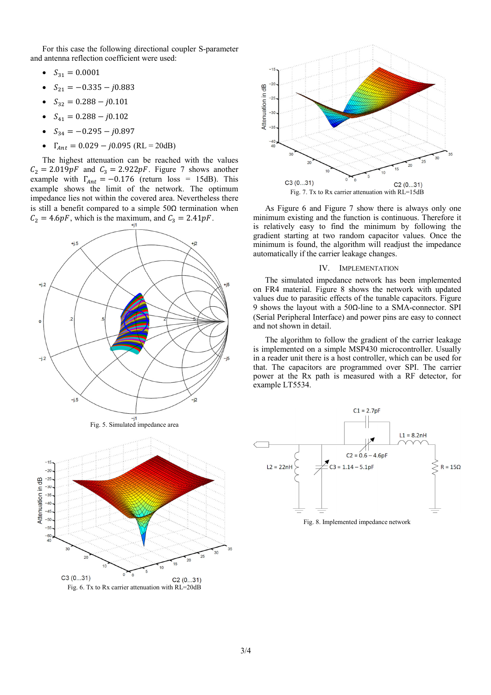For this case the following directional coupler S-parameter and antenna reflection coefficient were used:

- $S_{31} = 0.0001$
- $S_{21} = -0.335 j0.883$
- $S_{32} = 0.288 j0.101$
- $S_{41} = 0.288 j0.102$
- $S_{34} = -0.295 j0.897$
- $\Gamma_{Ant} = 0.029 j0.095$  (RL = 20dB)

The highest attenuation can be reached with the values  $C_2 = 2.019pF$  and  $C_3 = 2.922pF$ . Figure 7 shows another example with  $\Gamma_{Ant} = -0.176$  (return loss = 15dB). This example shows the limit of the network. The optimum impedance lies not within the covered area. Nevertheless there is still a benefit compared to a simple  $50\Omega$  termination when  $C_2 = 4.6pF$ , which is the maximum, and  $C_3 = 2.41pF$ .









As Figure 6 and Figure 7 show there is always only one minimum existing and the function is continuous. Therefore it is relatively easy to find the minimum by following the gradient starting at two random capacitor values. Once the minimum is found, the algorithm will readjust the impedance automatically if the carrier leakage changes.

### IV. IMPLEMENTATION

The simulated impedance network has been implemented on FR4 material. Figure 8 shows the network with updated values due to parasitic effects of the tunable capacitors. Figure 9 shows the layout with a 50Ω-line to a SMA-connector. SPI (Serial Peripheral Interface) and power pins are easy to connect and not shown in detail.

The algorithm to follow the gradient of the carrier leakage is implemented on a simple MSP430 microcontroller. Usually in a reader unit there is a host controller, which can be used for that. The capacitors are programmed over SPI. The carrier power at the Rx path is measured with a RF detector, for example LT5534.



Fig. 8. Implemented impedance network